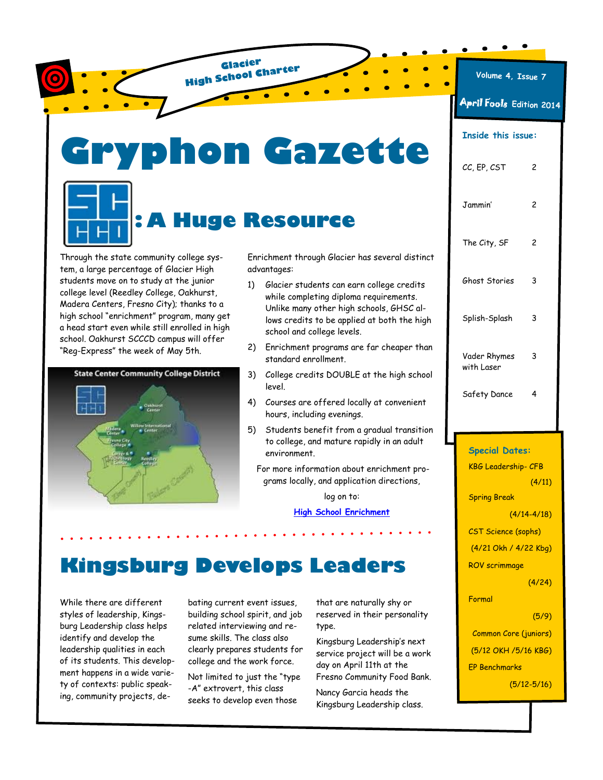hon Gazette **: A Huge Resource**

**Glacier High School Charter**

Through the state community college system, a large percentage of Glacier High students move on to study at the junior college level (Reedley College, Oakhurst, Madera Centers, Fresno City); thanks to a high school "enrichment" program, many get a head start even while still enrolled in high school. Oakhurst SCCCD campus will offer "Reg-Express" the week of May 5th.



Enrichment through Glacier has several distinct advantages:

- 1) Glacier students can earn college credits while completing diploma requirements. Unlike many other high schools, GHSC allows credits to be applied at both the high school and college levels.
- 2) Enrichment programs are far cheaper than standard enrollment.
- 3) College credits DOUBLE at the high school level.
- 4) Courses are offered locally at convenient hours, including evenings.
- 5) Students benefit from a gradual transition to college, and mature rapidly in an adult environment.
- For more information about enrichment programs locally, and application directions,

log on to:

**[High School Enrichment](http://www.oakhurstcenter.com/index.aspx?page=109)**

# **Kingsburg Develops Leaders**

While there are different styles of leadership, Kingsburg Leadership class helps identify and develop the leadership qualities in each of its students. This development happens in a wide variety of contexts: public speaking, community projects, de-

bating current event issues, building school spirit, and job related interviewing and resume skills. The class also clearly prepares students for college and the work force.

Not limited to just the "type -A" extrovert, this class seeks to develop even those

that are naturally shy or reserved in their personality type.

Kingsburg Leadership's next service project will be a work day on April 11th at the Fresno Community Food Bank.

Nancy Garcia heads the Kingsburg Leadership class.

#### **Volume 4, Issue 7**

April Fools **Edition 2014**

| <b>Inside this issue:</b>                    |                 |
|----------------------------------------------|-----------------|
| CC, EP, CST                                  | 2               |
| Jammin'                                      | 2               |
| The City, SF                                 | 2               |
| Ghost Stories                                | 3               |
| Splish-Splash                                | 3               |
| Vader Rhymes<br>with Laser                   | 3               |
| Safety Dance                                 | 4               |
|                                              |                 |
|                                              |                 |
| <b>Special Dates:</b>                        |                 |
| <b>KBG Leadership- CFB</b>                   |                 |
|                                              | (4/11)          |
| <b>Spring Break</b>                          |                 |
|                                              | $(4/14 - 4/18)$ |
| <b>CST Science (sophs)</b>                   |                 |
| (4/21 Okh / 4/22 Kbg)                        |                 |
| ROV scrimmage                                |                 |
|                                              | (4/24)          |
| Formal                                       |                 |
|                                              | (5/9)           |
| <b>Common Core (juniors)</b>                 |                 |
| (5/12 OKH /5/16 KBG)<br><b>EP Benchmarks</b> |                 |

(5/12-5/16)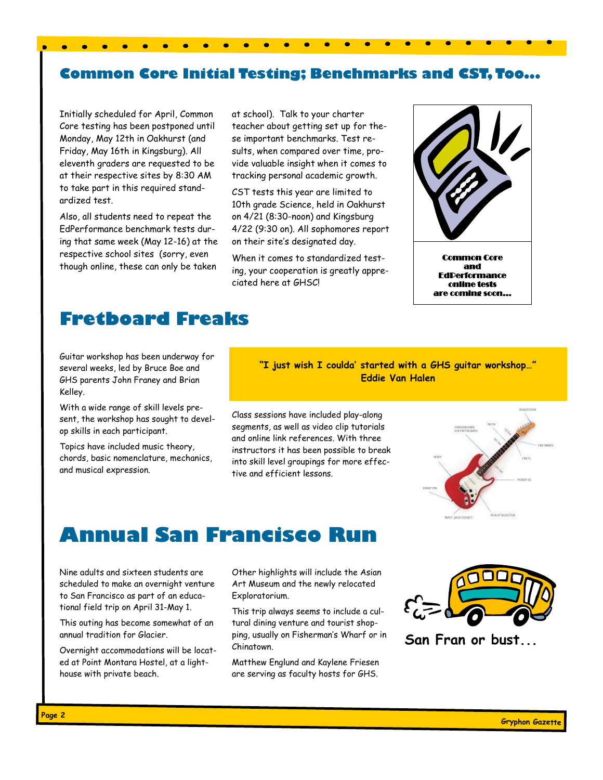#### **Common Core Initial Testing; Benchmarks and CST, Too...**

Initially scheduled for April, Common Core testing has been postponed until Monday, May 12th in Oakhurst (and Friday, May 16th in Kingsburg). All eleventh graders are requested to be at their respective sites by 8:30 AM to take part in this required standardized test.

Also, all students need to repeat the EdPerformance benchmark tests during that same week (May 12-16) at the respective school sites (sorry, even though online, these can only be taken

at school). Talk to your charter teacher about getting set up for these important benchmarks. Test results, when compared over time, provide valuable insight when it comes to tracking personal academic growth.

CST tests this year are limited to 10th grade Science, held in Oakhurst on 4/21 (8:30-noon) and Kingsburg 4/22 (9:30 on). All sophomores report on their site's designated day.

When it comes to standardized testing, your cooperation is greatly appreciated here at GHSC!



Common Core and **EdDerformance** online tests are coming soon...

### **Fretboard Freaks**

Guitar workshop has been underway for several weeks, led by Bruce Boe and GHS parents John Franey and Brian Kelley.

With a wide range of skill levels present, the workshop has sought to develop skills in each participant.

Topics have included music theory, chords, basic nomenclature, mechanics, and musical expression.

#### **"I just wish I coulda' started with a GHS guitar workshop…" Eddie Van Halen**

Class sessions have included play-along segments, as well as video clip tutorials and online link references. With three instructors it has been possible to break into skill level groupings for more effective and efficient lessons.



## **Annual San Francisco Run**

Nine adults and sixteen students are scheduled to make an overnight venture to San Francisco as part of an educational field trip on April 31-May 1.

This outing has become somewhat of an annual tradition for Glacier.

Overnight accommodations will be located at Point Montara Hostel, at a lighthouse with private beach.

Other highlights will include the Asian Art Museum and the newly relocated Exploratorium.

This trip always seems to include a cultural dining venture and tourist shopping, usually on Fisherman's Wharf or in Chinatown.

Matthew Englund and Kaylene Friesen are serving as faculty hosts for GHS.



**San Fran or bust...**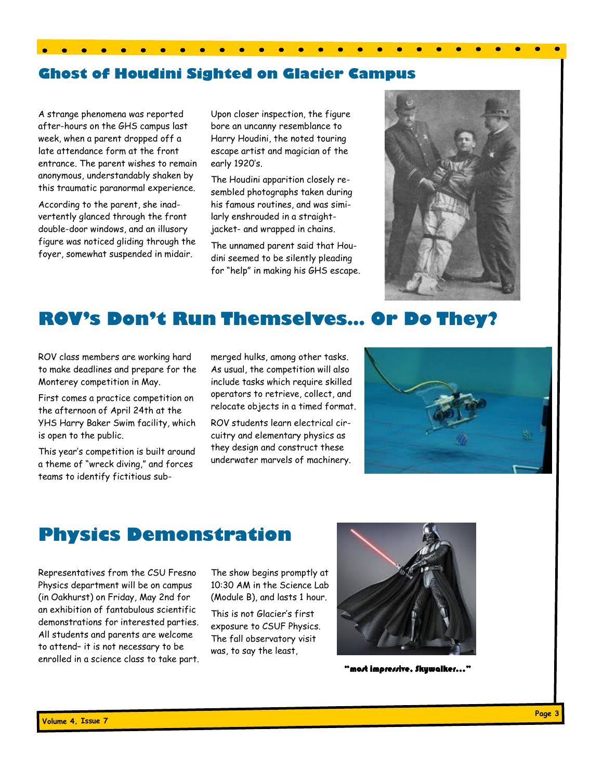#### **Ghost of Houdini Sighted on Glacier Campus**

 $\bullet$  $\bullet$ 

A strange phenomena was reported after-hours on the GHS campus last week, when a parent dropped off a late attendance form at the front entrance. The parent wishes to remain anonymous, understandably shaken by this traumatic paranormal experience.

According to the parent, she inadvertently glanced through the front double-door windows, and an illusory figure was noticed gliding through the foyer, somewhat suspended in midair.

Upon closer inspection, the figure bore an uncanny resemblance to Harry Houdini, the noted touring escape artist and magician of the early 1920's.

The Houdini apparition closely resembled photographs taken during his famous routines, and was similarly enshrouded in a straightjacket- and wrapped in chains.

The unnamed parent said that Houdini seemed to be silently pleading for "help" in making his GHS escape.



## **ROV's Don't Run Themselves… Or Do They?**

ROV class members are working hard to make deadlines and prepare for the Monterey competition in May.

First comes a practice competition on the afternoon of April 24th at the YHS Harry Baker Swim facility, which is open to the public.

This year's competition is built around a theme of "wreck diving," and forces teams to identify fictitious submerged hulks, among other tasks. As usual, the competition will also include tasks which require skilled operators to retrieve, collect, and relocate objects in a timed format.

ROV students learn electrical circuitry and elementary physics as they design and construct these underwater marvels of machinery.



### **Physics Demonstration**

Representatives from the CSU Fresno Physics department will be on campus (in Oakhurst) on Friday, May 2nd for an exhibition of fantabulous scientific demonstrations for interested parties. All students and parents are welcome to attend– it is not necessary to be enrolled in a science class to take part. The show begins promptly at 10:30 AM in the Science Lab (Module B), and lasts 1 hour.

This is not Glacier's first exposure to CSUF Physics. The fall observatory visit was, to say the least,



"most impressive, Skywalker…"